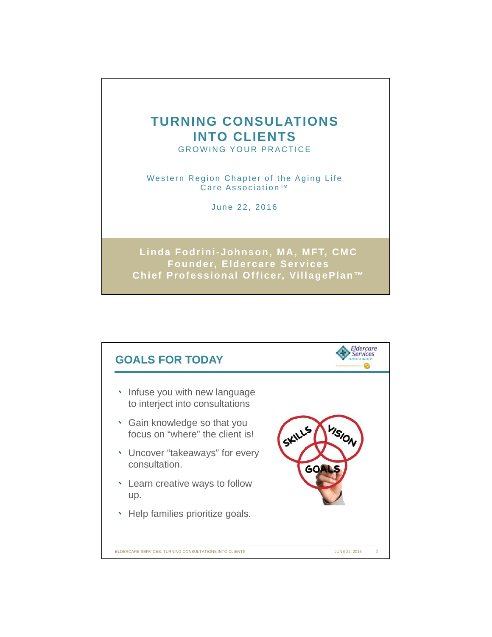## **TURNING CONSULATIONS INTO CLIENTS**

GROWING YOUR PRACTICE

Western Region Chapter of the Aging Life Care Association™

June 22, 2016

**Linda Fodrini-Johnson, MA, MFT, CMC Founder, Eldercare Services Chief Professional Officer, VillagePlan™**

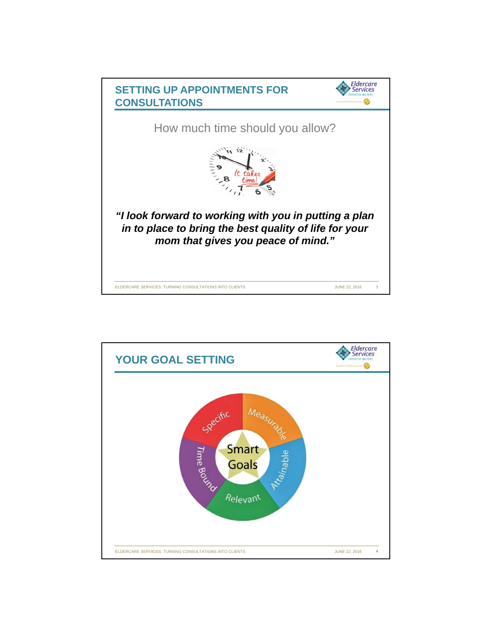

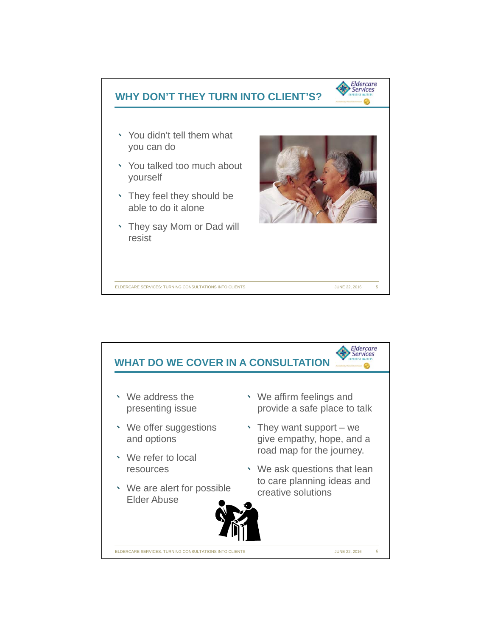

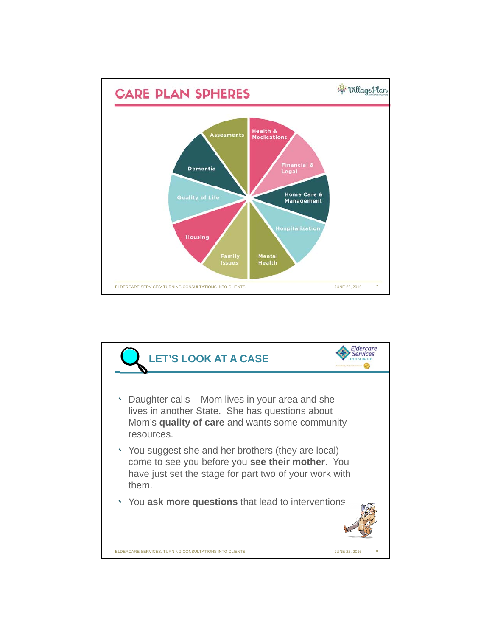

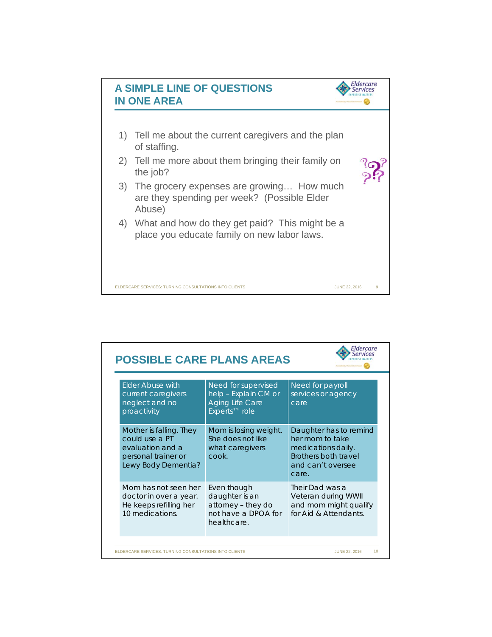

| <b>Elder Abuse with</b><br>current caregivers                                                               | Need for supervised<br>help - Explain CM or                                               | Need for payroll<br>services or agency                                                                                |
|-------------------------------------------------------------------------------------------------------------|-------------------------------------------------------------------------------------------|-----------------------------------------------------------------------------------------------------------------------|
| neglect and no<br>proactivity                                                                               | <b>Aging Life Care</b><br>Experts <sup>™</sup> role                                       | care.                                                                                                                 |
| Mother is falling. They<br>could use a PT<br>evaluation and a<br>personal trainer or<br>Lewy Body Dementia? | Mom is losing weight.<br>She does not like<br>what caregivers<br>cook.                    | Daughter has to remind<br>her mom to take<br>medications daily.<br>Brothers both travel<br>and can't oversee<br>care. |
| Mom has not seen her<br>doctor in over a year.<br>He keeps refilling her<br>10 medications.                 | Even though<br>daughter is an<br>attorney - they do<br>not have a DPOA for<br>healthcare. | Their Dad was a<br>Veteran during WWII<br>and mom might qualify<br>for Aid & Attendants.                              |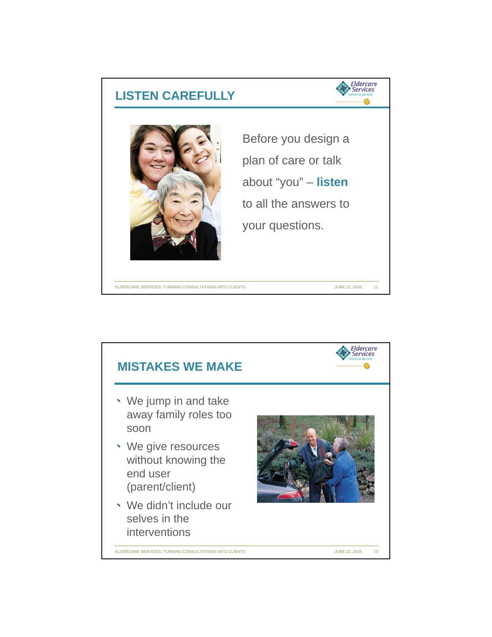

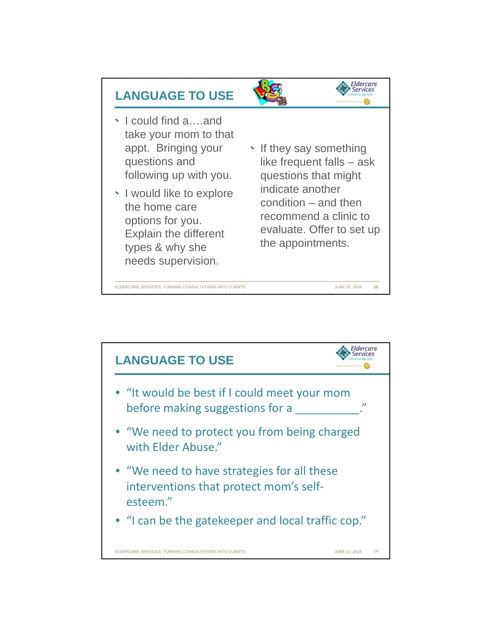

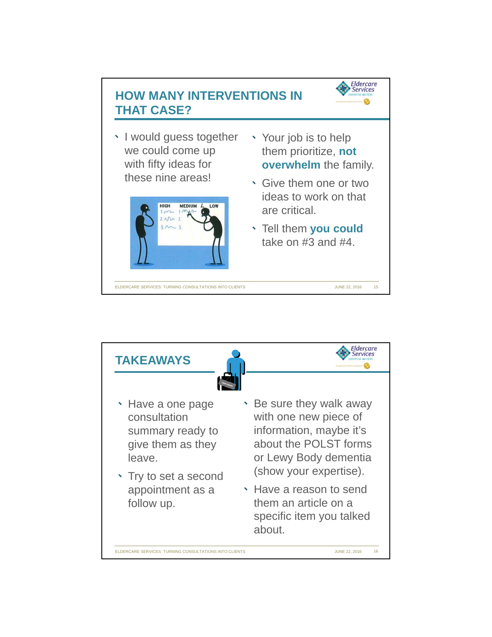

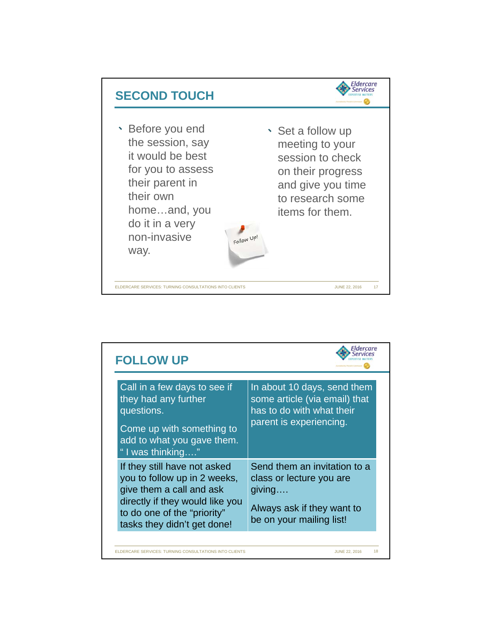

| <b>FOLLOW UP</b>                                                                                                                                                                          | Fidercare                                                                                                                    |
|-------------------------------------------------------------------------------------------------------------------------------------------------------------------------------------------|------------------------------------------------------------------------------------------------------------------------------|
| Call in a few days to see if<br>they had any further<br>questions.<br>Come up with something to<br>add to what you gave them.<br>"I was thinking"                                         | In about 10 days, send them<br>some article (via email) that<br>has to do with what their<br>parent is experiencing.         |
| If they still have not asked<br>you to follow up in 2 weeks,<br>give them a call and ask<br>directly if they would like you<br>to do one of the "priority"<br>tasks they didn't get done! | Send them an invitation to a<br>class or lecture you are<br>giving<br>Always ask if they want to<br>be on your mailing list! |